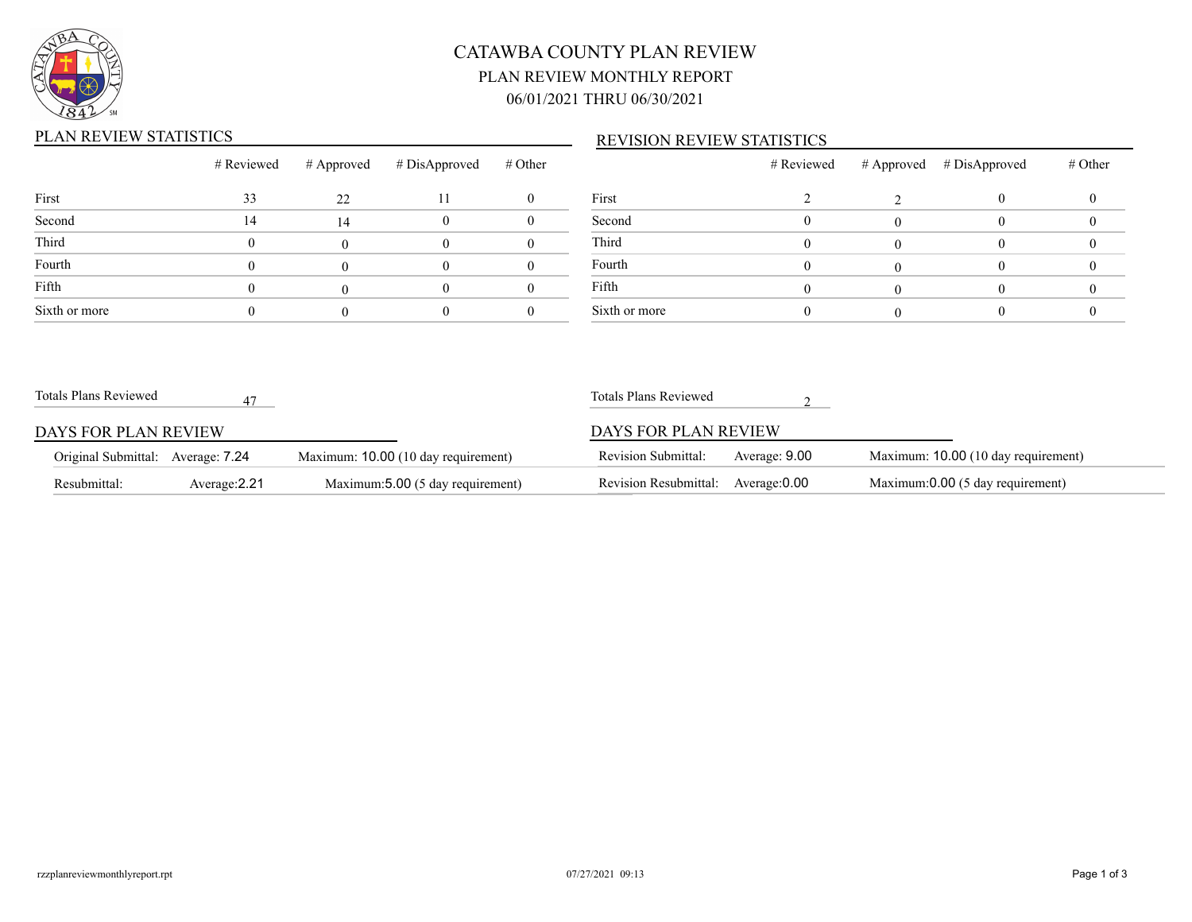

# CATAWBA COUNTY PLAN REVIEW PLAN REVIEW MONTHLY REPORT 06/01/2021 THRU 06/30/2021

## PLAN REVIEW STATISTICS

### REVISION REVIEW STATISTICS

|               |    |    | # Reviewed # Approved # DisApproved | # Other |   |
|---------------|----|----|-------------------------------------|---------|---|
| First         | 33 | 22 | П                                   |         | F |
| Second        | 14 | 14 |                                     |         | S |
| Third         |    |    |                                     |         | Τ |
| Fourth        |    |    |                                     |         | F |
| Fifth         |    |    |                                     |         | F |
| Sixth or more |    |    |                                     |         |   |

|               | # Reviewed | # Approved # DisApproved | # Other |
|---------------|------------|--------------------------|---------|
| First         |            |                          |         |
| Second        |            |                          |         |
| Third         |            |                          |         |
| Fourth        |            |                          |         |
| Fifth         |            |                          |         |
| Sixth or more |            |                          |         |

| Totals Plans Reviewed             |               |                                     | Totals Plans Reviewed               |               |                                     |
|-----------------------------------|---------------|-------------------------------------|-------------------------------------|---------------|-------------------------------------|
| DAYS FOR PLAN REVIEW              |               |                                     | DAYS FOR PLAN REVIEW                |               |                                     |
| Original Submittal: Average: 7.24 |               | Maximum: 10.00 (10 day requirement) | <b>Revision Submittal:</b>          | Average: 9.00 | Maximum: 10.00 (10 day requirement) |
| Resubmittal:                      | Average: 2.21 | Maximum: 5.00 (5 day requirement)   | Revision Resubmittal: Average: 0.00 |               | Maximum:0.00 (5 day requirement)    |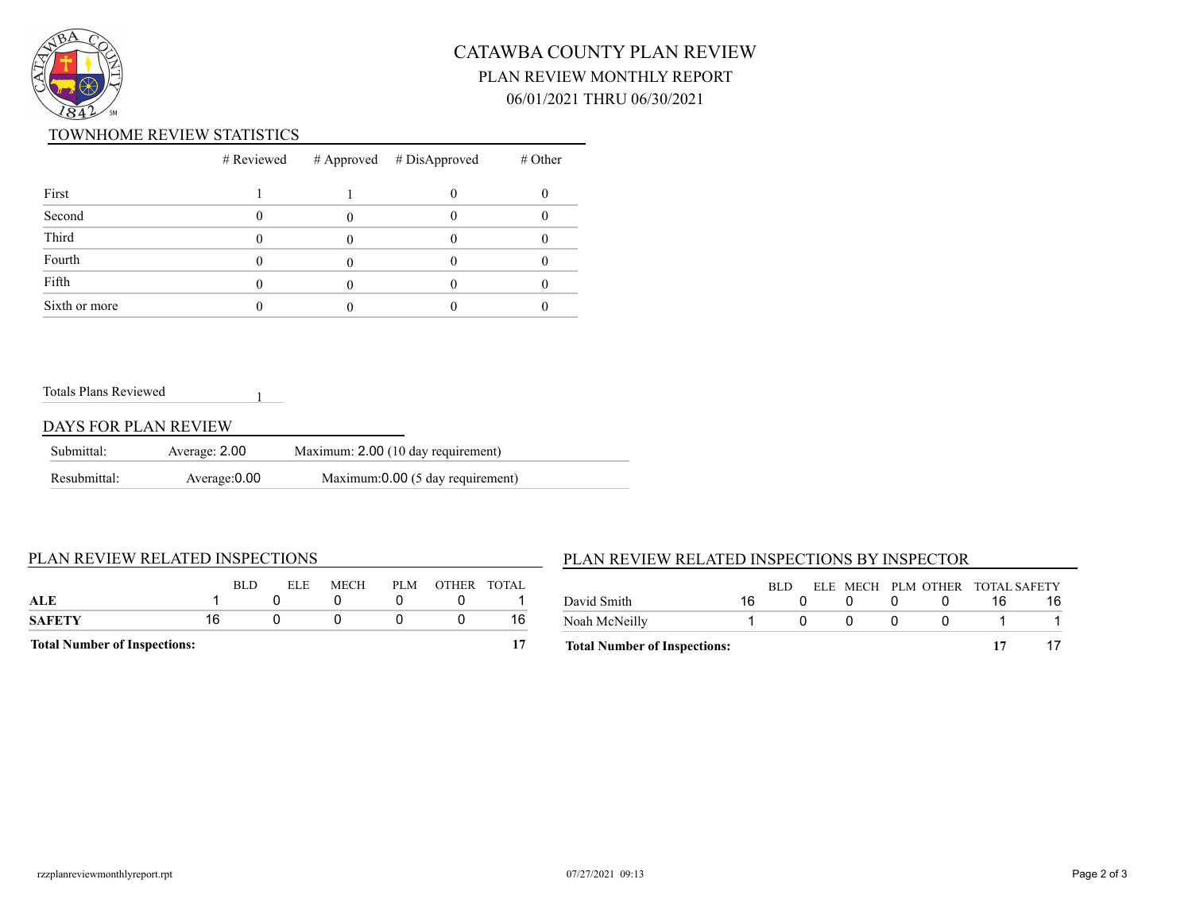

# CATAWBA COUNTY PLAN REVIEW PLAN REVIEW MONTHLY REPORT 06/01/2021 THRU 06/30/2021

### TOWNHOME REVIEW STATISTICS

|               |  | $#$ Reviewed $#$ Approved $#$ DisApproved | $#$ Other |
|---------------|--|-------------------------------------------|-----------|
| First         |  |                                           |           |
| Second        |  |                                           |           |
| Third         |  |                                           |           |
| Fourth        |  |                                           |           |
| Fifth         |  |                                           |           |
| Sixth or more |  |                                           |           |

#### Totals Plans Reviewed

### DAYS FOR PLAN REVIEW

| Submittal:   | Average: 2.00 | Maximum: 2.00 (10 day requirement) |  |
|--------------|---------------|------------------------------------|--|
| Resubmittal: | Average: 0.00 | Maximum: 0.00 (5 day requirement)  |  |

1

#### PLAN REVIEW RELATED INSPECTIONS

## BLD ELE MECH PLM OTHER TOTAL **ALE** 1 0 0 0 0 1 **SAFETY** 16 0 0 0 0 16 **Total Number of Inspections: 17**

### PLAN REVIEW RELATED INSPECTIONS BY INSPECTOR

| <b>Total Number of Inspections:</b> |    |      |  |     |                                 |  |
|-------------------------------------|----|------|--|-----|---------------------------------|--|
| Noah McNeilly                       |    |      |  | - 0 |                                 |  |
| David Smith                         | 16 |      |  |     |                                 |  |
|                                     |    | RLD. |  |     | ELE MECH PLM OTHER TOTAL SAFETY |  |